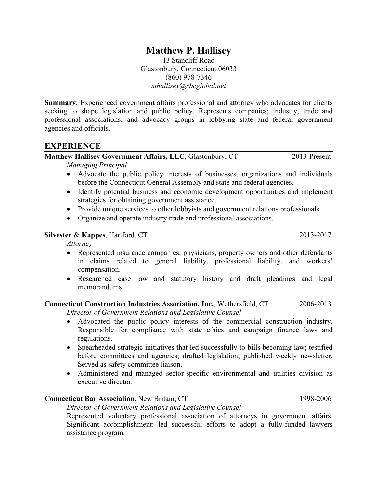# **Matthew P. Hallisey**

13 Stancliff Road Glastonbury, Connecticut 06033 (860) 978-7346 *mhallisey@sbcglobal.net*

**Summary**: Experienced government affairs professional and attorney who advocates for clients seeking to shape legislation and public policy. Represents companies; industry, trade and professional associations; and advocacy groups in lobbying state and federal government agencies and officials.

### **EXPERIENCE**

## **Matthew Hallisey Government Affairs, LLC**, Glastonbury, CT 2013-Present

*Managing Principal*

- Advocate the public policy interests of businesses, organizations and individuals before the Connecticut General Assembly and state and federal agencies.
- Identify potential business and economic development opportunities and implement strategies for obtaining government assistance.
- Provide unique services to other lobbyists and government relations professionals.
- Organize and operate industry trade and professional associations.

#### **Silvester & Kappes**, Hartford, CT 2013-2017

*Attorney*

- Represented insurance companies, physicians, property owners and other defendants in claims related to general liability, professional liability, and workers' compensation.
- Researched case law and statutory history and draft pleadings and legal memorandums.

#### **Connecticut Construction Industries Association, Inc.**, Wethersfield, CT 2006-2013

*Director of Government Relations and Legislative Counsel*

- Advocated the public policy interests of the commercial construction industry. Responsible for compliance with state ethics and campaign finance laws and regulations.
- Spearheaded strategic initiatives that led successfully to bills becoming law; testified before committees and agencies; drafted legislation; published weekly newsletter. Served as safety committee liaison.
- Administered and managed sector-specific environmental and utilities division as executive director.

#### **Connecticut Bar Association**, New Britain, CT 1998-2006

*Director of Government Relations and Legislative Counsel*

Represented voluntary professional association of attorneys in government affairs. Significant accomplishment: led successful efforts to adopt a fully-funded lawyers assistance program.